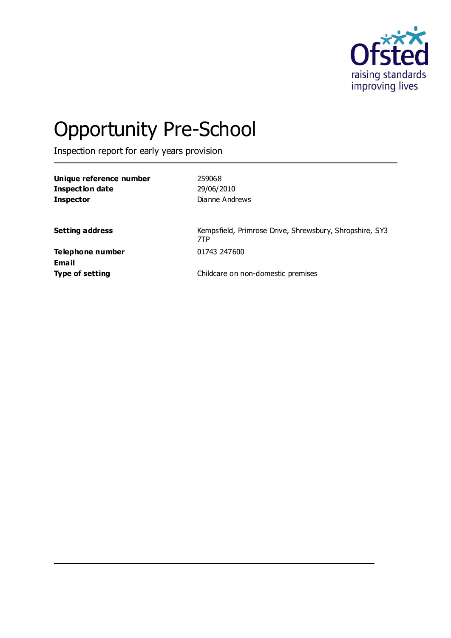

# Opportunity Pre-School

Inspection report for early years provision

**Unique reference number** 259068 **Inspection date** 29/06/2010 **Inspector** Dianne Andrews

Setting address **Setting address** Kempsfield, Primrose Drive, Shrewsbury, Shropshire, SY3 7TP

**Telephone number** 01743 247600 **Email**

**Type of setting** Childcare on non-domestic premises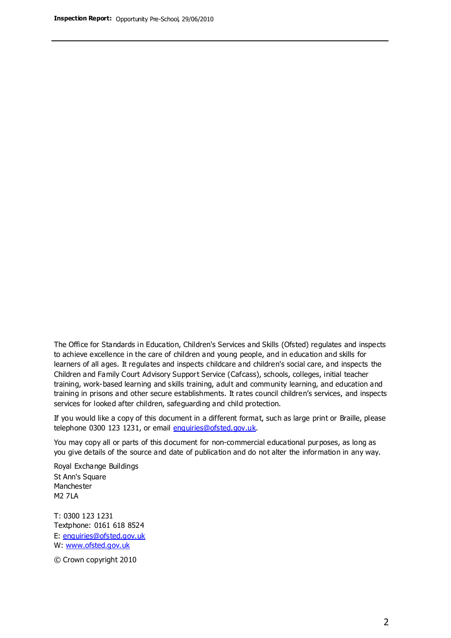The Office for Standards in Education, Children's Services and Skills (Ofsted) regulates and inspects to achieve excellence in the care of children and young people, and in education and skills for learners of all ages. It regulates and inspects childcare and children's social care, and inspects the Children and Family Court Advisory Support Service (Cafcass), schools, colleges, initial teacher training, work-based learning and skills training, adult and community learning, and education and training in prisons and other secure establishments. It rates council children's services, and inspects services for looked after children, safeguarding and child protection.

If you would like a copy of this document in a different format, such as large print or Braille, please telephone 0300 123 1231, or email enquiries@ofsted.gov.uk.

You may copy all or parts of this document for non-commercial educational purposes, as long as you give details of the source and date of publication and do not alter the information in any way.

Royal Exchange Buildings St Ann's Square Manchester M2 7LA

T: 0300 123 1231 Textphone: 0161 618 8524 E: enquiries@ofsted.gov.uk W: [www.ofsted.gov.uk](http://www.ofsted.gov.uk/)

© Crown copyright 2010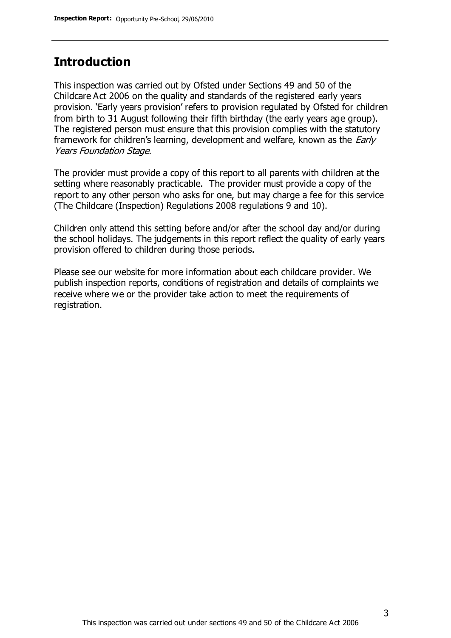# **Introduction**

This inspection was carried out by Ofsted under Sections 49 and 50 of the Childcare Act 2006 on the quality and standards of the registered early years provision. 'Early years provision' refers to provision regulated by Ofsted for children from birth to 31 August following their fifth birthday (the early years age group). The registered person must ensure that this provision complies with the statutory framework for children's learning, development and welfare, known as the *Early* Years Foundation Stage.

The provider must provide a copy of this report to all parents with children at the setting where reasonably practicable. The provider must provide a copy of the report to any other person who asks for one, but may charge a fee for this service (The Childcare (Inspection) Regulations 2008 regulations 9 and 10).

Children only attend this setting before and/or after the school day and/or during the school holidays. The judgements in this report reflect the quality of early years provision offered to children during those periods.

Please see our website for more information about each childcare provider. We publish inspection reports, conditions of registration and details of complaints we receive where we or the provider take action to meet the requirements of registration.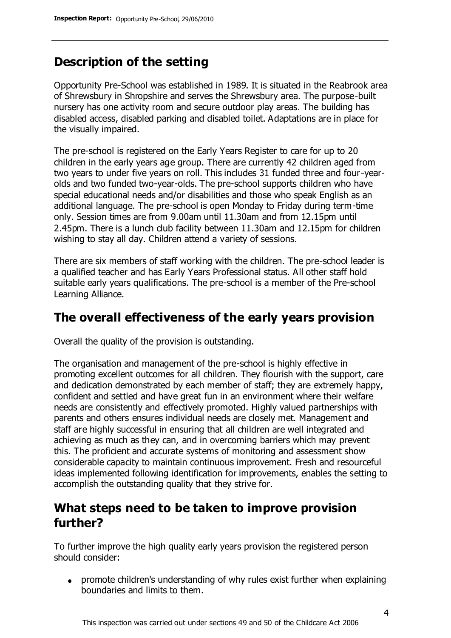# **Description of the setting**

Opportunity Pre-School was established in 1989. It is situated in the Reabrook area of Shrewsbury in Shropshire and serves the Shrewsbury area. The purpose-built nursery has one activity room and secure outdoor play areas. The building has disabled access, disabled parking and disabled toilet. Adaptations are in place for the visually impaired.

The pre-school is registered on the Early Years Register to care for up to 20 children in the early years age group. There are currently 42 children aged from two years to under five years on roll. This includes 31 funded three and four-yearolds and two funded two-year-olds. The pre-school supports children who have special educational needs and/or disabilities and those who speak English as an additional language. The pre-school is open Monday to Friday during term-time only. Session times are from 9.00am until 11.30am and from 12.15pm until 2.45pm. There is a lunch club facility between 11.30am and 12.15pm for children wishing to stay all day. Children attend a variety of sessions.

There are six members of staff working with the children. The pre-school leader is a qualified teacher and has Early Years Professional status. All other staff hold suitable early years qualifications. The pre-school is a member of the Pre-school Learning Alliance.

## **The overall effectiveness of the early years provision**

Overall the quality of the provision is outstanding.

The organisation and management of the pre-school is highly effective in promoting excellent outcomes for all children. They flourish with the support, care and dedication demonstrated by each member of staff; they are extremely happy, confident and settled and have great fun in an environment where their welfare needs are consistently and effectively promoted. Highly valued partnerships with parents and others ensures individual needs are closely met. Management and staff are highly successful in ensuring that all children are well integrated and achieving as much as they can, and in overcoming barriers which may prevent this. The proficient and accurate systems of monitoring and assessment show considerable capacity to maintain continuous improvement. Fresh and resourceful ideas implemented following identification for improvements, enables the setting to accomplish the outstanding quality that they strive for.

# **What steps need to be taken to improve provision further?**

To further improve the high quality early years provision the registered person should consider:

promote children's understanding of why rules exist further when explaining boundaries and limits to them.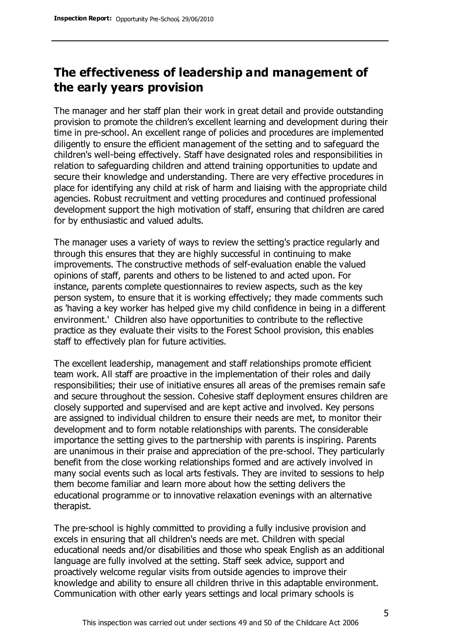# **The effectiveness of leadership and management of the early years provision**

The manager and her staff plan their work in great detail and provide outstanding provision to promote the children's excellent learning and development during their time in pre-school. An excellent range of policies and procedures are implemented diligently to ensure the efficient management of the setting and to safeguard the children's well-being effectively. Staff have designated roles and responsibilities in relation to safeguarding children and attend training opportunities to update and secure their knowledge and understanding. There are very effective procedures in place for identifying any child at risk of harm and liaising with the appropriate child agencies. Robust recruitment and vetting procedures and continued professional development support the high motivation of staff, ensuring that children are cared for by enthusiastic and valued adults.

The manager uses a variety of ways to review the setting's practice regularly and through this ensures that they are highly successful in continuing to make improvements. The constructive methods of self-evaluation enable the valued opinions of staff, parents and others to be listened to and acted upon. For instance, parents complete questionnaires to review aspects, such as the key person system, to ensure that it is working effectively; they made comments such as 'having a key worker has helped give my child confidence in being in a different environment.' Children also have opportunities to contribute to the reflective practice as they evaluate their visits to the Forest School provision, this enables staff to effectively plan for future activities.

The excellent leadership, management and staff relationships promote efficient team work. All staff are proactive in the implementation of their roles and daily responsibilities; their use of initiative ensures all areas of the premises remain safe and secure throughout the session. Cohesive staff deployment ensures children are closely supported and supervised and are kept active and involved. Key persons are assigned to individual children to ensure their needs are met, to monitor their development and to form notable relationships with parents. The considerable importance the setting gives to the partnership with parents is inspiring. Parents are unanimous in their praise and appreciation of the pre-school. They particularly benefit from the close working relationships formed and are actively involved in many social events such as local arts festivals. They are invited to sessions to help them become familiar and learn more about how the setting delivers the educational programme or to innovative relaxation evenings with an alternative therapist.

The pre-school is highly committed to providing a fully inclusive provision and excels in ensuring that all children's needs are met. Children with special educational needs and/or disabilities and those who speak English as an additional language are fully involved at the setting. Staff seek advice, support and proactively welcome regular visits from outside agencies to improve their knowledge and ability to ensure all children thrive in this adaptable environment. Communication with other early years settings and local primary schools is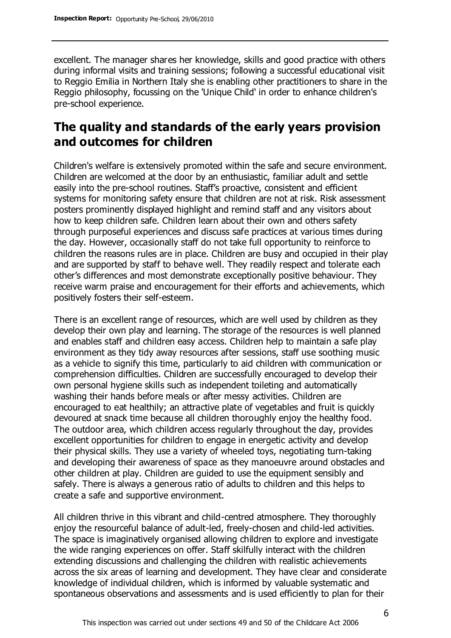excellent. The manager shares her knowledge, skills and good practice with others during informal visits and training sessions; following a successful educational visit to Reggio Emilia in Northern Italy she is enabling other practitioners to share in the Reggio philosophy, focussing on the 'Unique Child' in order to enhance children's pre-school experience.

## **The quality and standards of the early years provision and outcomes for children**

Children's welfare is extensively promoted within the safe and secure environment. Children are welcomed at the door by an enthusiastic, familiar adult and settle easily into the pre-school routines. Staff's proactive, consistent and efficient systems for monitoring safety ensure that children are not at risk. Risk assessment posters prominently displayed highlight and remind staff and any visitors about how to keep children safe. Children learn about their own and others safety through purposeful experiences and discuss safe practices at various times during the day. However, occasionally staff do not take full opportunity to reinforce to children the reasons rules are in place. Children are busy and occupied in their play and are supported by staff to behave well. They readily respect and tolerate each other's differences and most demonstrate exceptionally positive behaviour. They receive warm praise and encouragement for their efforts and achievements, which positively fosters their self-esteem.

There is an excellent range of resources, which are well used by children as they develop their own play and learning. The storage of the resources is well planned and enables staff and children easy access. Children help to maintain a safe play environment as they tidy away resources after sessions, staff use soothing music as a vehicle to signify this time, particularly to aid children with communication or comprehension difficulties. Children are successfully encouraged to develop their own personal hygiene skills such as independent toileting and automatically washing their hands before meals or after messy activities. Children are encouraged to eat healthily; an attractive plate of vegetables and fruit is quickly devoured at snack time because all children thoroughly enjoy the healthy food. The outdoor area, which children access regularly throughout the day, provides excellent opportunities for children to engage in energetic activity and develop their physical skills. They use a variety of wheeled toys, negotiating turn-taking and developing their awareness of space as they manoeuvre around obstacles and other children at play. Children are guided to use the equipment sensibly and safely. There is always a generous ratio of adults to children and this helps to create a safe and supportive environment.

All children thrive in this vibrant and child-centred atmosphere. They thoroughly enjoy the resourceful balance of adult-led, freely-chosen and child-led activities. The space is imaginatively organised allowing children to explore and investigate the wide ranging experiences on offer. Staff skilfully interact with the children extending discussions and challenging the children with realistic achievements across the six areas of learning and development. They have clear and considerate knowledge of individual children, which is informed by valuable systematic and spontaneous observations and assessments and is used efficiently to plan for their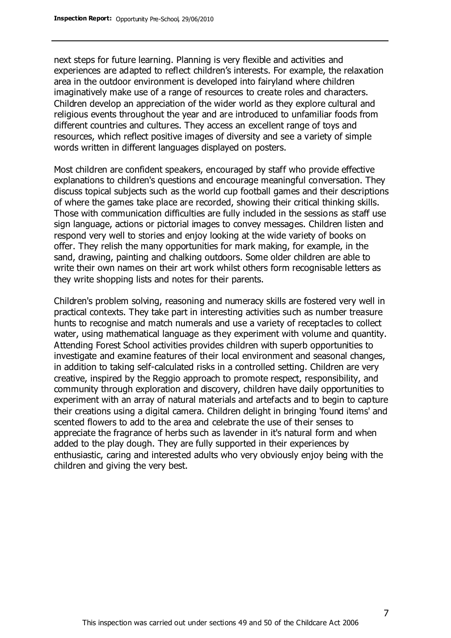next steps for future learning. Planning is very flexible and activities and experiences are adapted to reflect children's interests. For example, the relaxation area in the outdoor environment is developed into fairyland where children imaginatively make use of a range of resources to create roles and characters. Children develop an appreciation of the wider world as they explore cultural and religious events throughout the year and are introduced to unfamiliar foods from different countries and cultures. They access an excellent range of toys and resources, which reflect positive images of diversity and see a variety of simple words written in different languages displayed on posters.

Most children are confident speakers, encouraged by staff who provide effective explanations to children's questions and encourage meaningful conversation. They discuss topical subjects such as the world cup football games and their descriptions of where the games take place are recorded, showing their critical thinking skills. Those with communication difficulties are fully included in the sessions as staff use sign language, actions or pictorial images to convey messages. Children listen and respond very well to stories and enjoy looking at the wide variety of books on offer. They relish the many opportunities for mark making, for example, in the sand, drawing, painting and chalking outdoors. Some older children are able to write their own names on their art work whilst others form recognisable letters as they write shopping lists and notes for their parents.

Children's problem solving, reasoning and numeracy skills are fostered very well in practical contexts. They take part in interesting activities such as number treasure hunts to recognise and match numerals and use a variety of receptacles to collect water, using mathematical language as they experiment with volume and quantity. Attending Forest School activities provides children with superb opportunities to investigate and examine features of their local environment and seasonal changes, in addition to taking self-calculated risks in a controlled setting. Children are very creative, inspired by the Reggio approach to promote respect, responsibility, and community through exploration and discovery, children have daily opportunities to experiment with an array of natural materials and artefacts and to begin to capture their creations using a digital camera. Children delight in bringing 'found items' and scented flowers to add to the area and celebrate the use of their senses to appreciate the fragrance of herbs such as lavender in it's natural form and when added to the play dough. They are fully supported in their experiences by enthusiastic, caring and interested adults who very obviously enjoy being with the children and giving the very best.